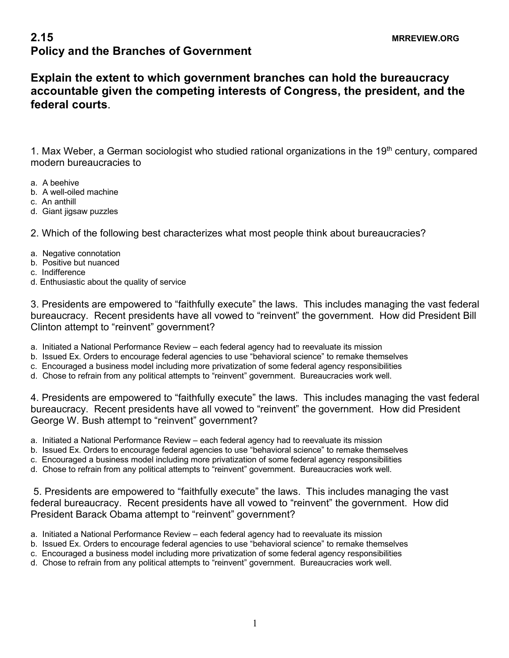## **2.15** MRREVIEW.ORG **Policy and the Branches of Government**

**Explain the extent to which government branches can hold the bureaucracy accountable given the competing interests of Congress, the president, and the federal courts**.

1. Max Weber, a German sociologist who studied rational organizations in the 19<sup>th</sup> century, compared modern bureaucracies to

- a. A beehive
- b. A well-oiled machine
- c. An anthill
- d. Giant jigsaw puzzles

2. Which of the following best characterizes what most people think about bureaucracies?

- a. Negative connotation
- b. Positive but nuanced
- c. Indifference
- d. Enthusiastic about the quality of service

3. Presidents are empowered to "faithfully execute" the laws. This includes managing the vast federal bureaucracy. Recent presidents have all vowed to "reinvent" the government. How did President Bill Clinton attempt to "reinvent" government?

- a. Initiated a National Performance Review each federal agency had to reevaluate its mission
- b. Issued Ex. Orders to encourage federal agencies to use "behavioral science" to remake themselves
- c. Encouraged a business model including more privatization of some federal agency responsibilities
- d. Chose to refrain from any political attempts to "reinvent" government. Bureaucracies work well.

4. Presidents are empowered to "faithfully execute" the laws. This includes managing the vast federal bureaucracy. Recent presidents have all vowed to "reinvent" the government. How did President George W. Bush attempt to "reinvent" government?

- a. Initiated a National Performance Review each federal agency had to reevaluate its mission
- b. Issued Ex. Orders to encourage federal agencies to use "behavioral science" to remake themselves
- c. Encouraged a business model including more privatization of some federal agency responsibilities
- d. Chose to refrain from any political attempts to "reinvent" government. Bureaucracies work well.

5. Presidents are empowered to "faithfully execute" the laws. This includes managing the vast federal bureaucracy. Recent presidents have all vowed to "reinvent" the government. How did President Barack Obama attempt to "reinvent" government?

- a. Initiated a National Performance Review each federal agency had to reevaluate its mission
- b. Issued Ex. Orders to encourage federal agencies to use "behavioral science" to remake themselves
- c. Encouraged a business model including more privatization of some federal agency responsibilities
- d. Chose to refrain from any political attempts to "reinvent" government. Bureaucracies work well.